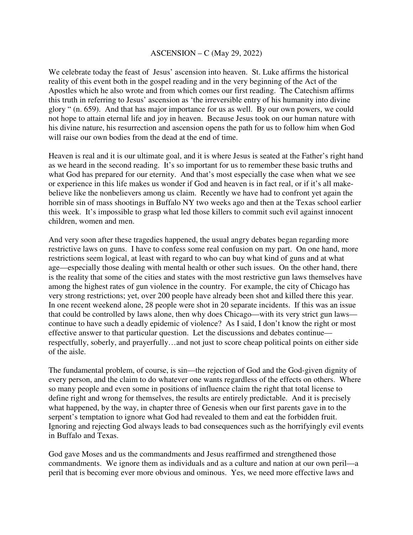## ASCENSION – C (May 29, 2022)

We celebrate today the feast of Jesus' ascension into heaven. St. Luke affirms the historical reality of this event both in the gospel reading and in the very beginning of the Act of the Apostles which he also wrote and from which comes our first reading. The Catechism affirms this truth in referring to Jesus' ascension as 'the irreversible entry of his humanity into divine glory " (n. 659). And that has major importance for us as well. By our own powers, we could not hope to attain eternal life and joy in heaven. Because Jesus took on our human nature with his divine nature, his resurrection and ascension opens the path for us to follow him when God will raise our own bodies from the dead at the end of time.

Heaven is real and it is our ultimate goal, and it is where Jesus is seated at the Father's right hand as we heard in the second reading. It's so important for us to remember these basic truths and what God has prepared for our eternity. And that's most especially the case when what we see or experience in this life makes us wonder if God and heaven is in fact real, or if it's all makebelieve like the nonbelievers among us claim. Recently we have had to confront yet again the horrible sin of mass shootings in Buffalo NY two weeks ago and then at the Texas school earlier this week. It's impossible to grasp what led those killers to commit such evil against innocent children, women and men.

And very soon after these tragedies happened, the usual angry debates began regarding more restrictive laws on guns. I have to confess some real confusion on my part. On one hand, more restrictions seem logical, at least with regard to who can buy what kind of guns and at what age—especially those dealing with mental health or other such issues. On the other hand, there is the reality that some of the cities and states with the most restrictive gun laws themselves have among the highest rates of gun violence in the country. For example, the city of Chicago has very strong restrictions; yet, over 200 people have already been shot and killed there this year. In one recent weekend alone, 28 people were shot in 20 separate incidents. If this was an issue that could be controlled by laws alone, then why does Chicago—with its very strict gun laws continue to have such a deadly epidemic of violence? As I said, I don't know the right or most effective answer to that particular question. Let the discussions and debates continue respectfully, soberly, and prayerfully…and not just to score cheap political points on either side of the aisle.

The fundamental problem, of course, is sin—the rejection of God and the God-given dignity of every person, and the claim to do whatever one wants regardless of the effects on others. Where so many people and even some in positions of influence claim the right that total license to define right and wrong for themselves, the results are entirely predictable. And it is precisely what happened, by the way, in chapter three of Genesis when our first parents gave in to the serpent's temptation to ignore what God had revealed to them and eat the forbidden fruit. Ignoring and rejecting God always leads to bad consequences such as the horrifyingly evil events in Buffalo and Texas.

God gave Moses and us the commandments and Jesus reaffirmed and strengthened those commandments. We ignore them as individuals and as a culture and nation at our own peril—a peril that is becoming ever more obvious and ominous. Yes, we need more effective laws and